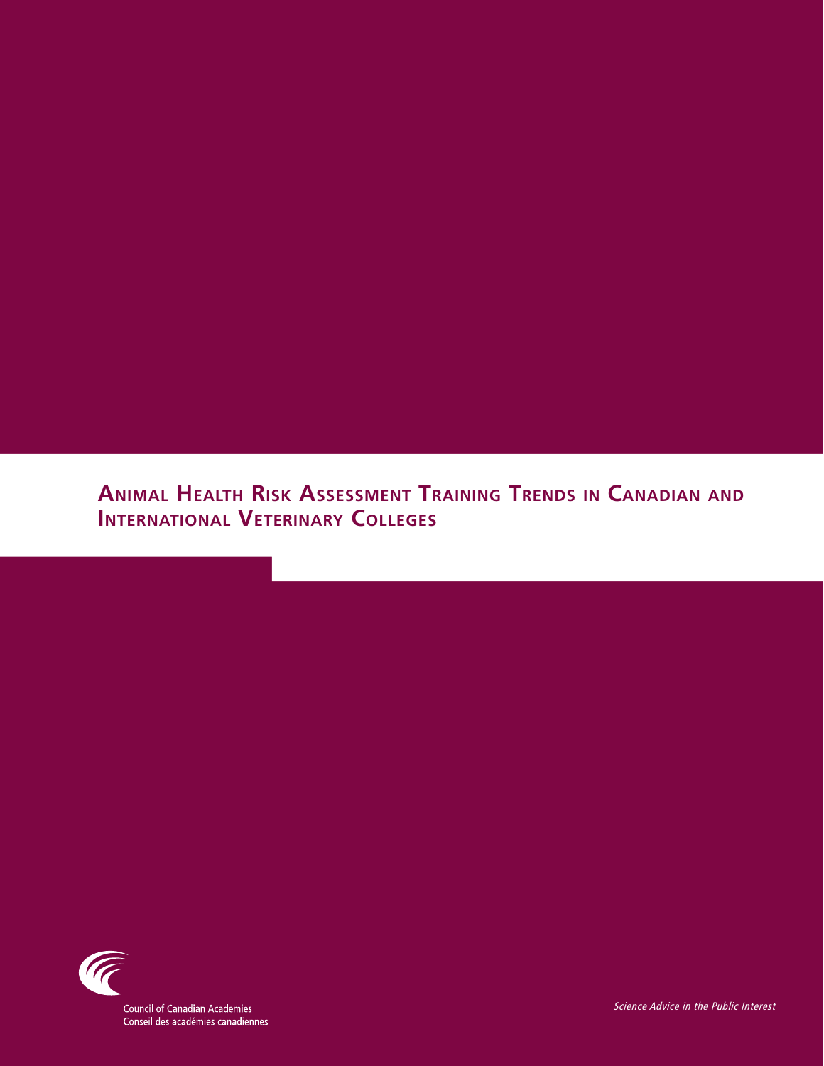## **Animal Health Risk Assessment Training Trends in Canadian and International Veterinary Colleges**



**Council of Canadian Academies** Conseil des académies canadiennes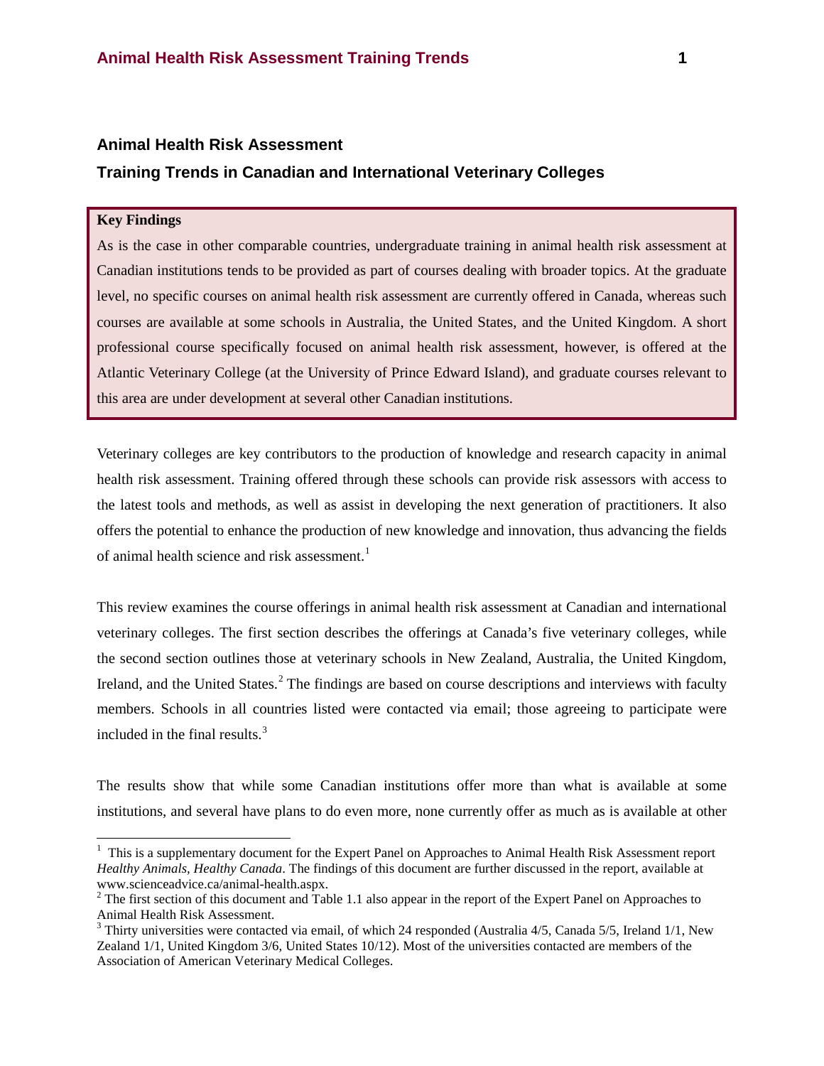#### **Animal Health Risk Assessment**

### **Training Trends in Canadian and International Veterinary Colleges**

#### **Key Findings**

As is the case in other comparable countries, undergraduate training in animal health risk assessment at Canadian institutions tends to be provided as part of courses dealing with broader topics. At the graduate level, no specific courses on animal health risk assessment are currently offered in Canada, whereas such courses are available at some schools in Australia, the United States, and the United Kingdom. A short professional course specifically focused on animal health risk assessment, however, is offered at the Atlantic Veterinary College (at the University of Prince Edward Island), and graduate courses relevant to this area are under development at several other Canadian institutions.

Veterinary colleges are key contributors to the production of knowledge and research capacity in animal health risk assessment. Training offered through these schools can provide risk assessors with access to the latest tools and methods, as well as assist in developing the next generation of practitioners. It also offers the potential to enhance the production of new knowledge and innovation, thus advancing the fields of animal health science and risk assessment.<sup>[1](#page-15-0)</sup>

This review examines the course offerings in animal health risk assessment at Canadian and international veterinary colleges. The first section describes the offerings at Canada's five veterinary colleges, while the second section outlines those at veterinary schools in New Zealand, Australia, the United Kingdom, Ireland, and the United States.<sup>[2](#page-1-0)</sup> The findings are based on course descriptions and interviews with faculty members. Schools in all countries listed were contacted via email; those agreeing to participate were included in the final results.<sup>[3](#page-1-1)</sup>

The results show that while some Canadian institutions offer more than what is available at some institutions, and several have plans to do even more, none currently offer as much as is available at other

 $\frac{1}{1}$  $1$  This is a supplementary document for the Expert Panel on Approaches to Animal Health Risk Assessment report *Healthy Animals, Healthy Canada*. The findings of this document are further discussed in the report, available at www.scienceadvice.ca/animal-health.aspx.<br><sup>2</sup> The first section of this document and Table 1.1 also appear in the report of the Expert Panel on Approaches to

<span id="page-1-0"></span>Animal Health Risk Assessment.

<span id="page-1-1"></span> $3$  Thirty universities were contacted via email, of which 24 responded (Australia 4/5, Canada 5/5, Ireland 1/1, New Zealand 1/1, United Kingdom 3/6, United States 10/12). Most of the universities contacted are members of the Association of American Veterinary Medical Colleges.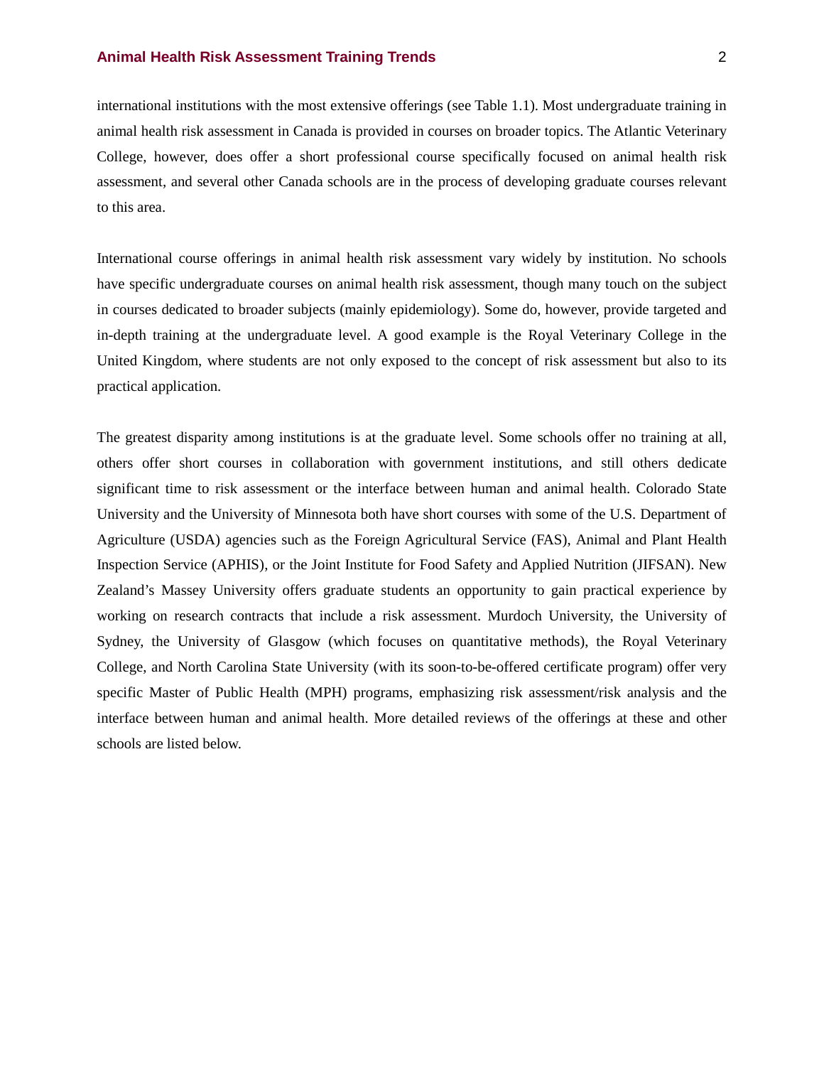international institutions with the most extensive offerings (see Table 1.1). Most undergraduate training in animal health risk assessment in Canada is provided in courses on broader topics. The Atlantic Veterinary College, however, does offer a short professional course specifically focused on animal health risk assessment, and several other Canada schools are in the process of developing graduate courses relevant to this area.

International course offerings in animal health risk assessment vary widely by institution. No schools have specific undergraduate courses on animal health risk assessment, though many touch on the subject in courses dedicated to broader subjects (mainly epidemiology). Some do, however, provide targeted and in-depth training at the undergraduate level. A good example is the Royal Veterinary College in the United Kingdom, where students are not only exposed to the concept of risk assessment but also to its practical application.

The greatest disparity among institutions is at the graduate level. Some schools offer no training at all, others offer short courses in collaboration with government institutions, and still others dedicate significant time to risk assessment or the interface between human and animal health. Colorado State University and the University of Minnesota both have short courses with some of the U.S. Department of Agriculture (USDA) agencies such as the Foreign Agricultural Service (FAS), Animal and Plant Health Inspection Service (APHIS), or the Joint Institute for Food Safety and Applied Nutrition (JIFSAN). New Zealand's Massey University offers graduate students an opportunity to gain practical experience by working on research contracts that include a risk assessment. Murdoch University, the University of Sydney, the University of Glasgow (which focuses on quantitative methods), the Royal Veterinary College, and North Carolina State University (with its soon-to-be-offered certificate program) offer very specific Master of Public Health (MPH) programs, emphasizing risk assessment/risk analysis and the interface between human and animal health. More detailed reviews of the offerings at these and other schools are listed below.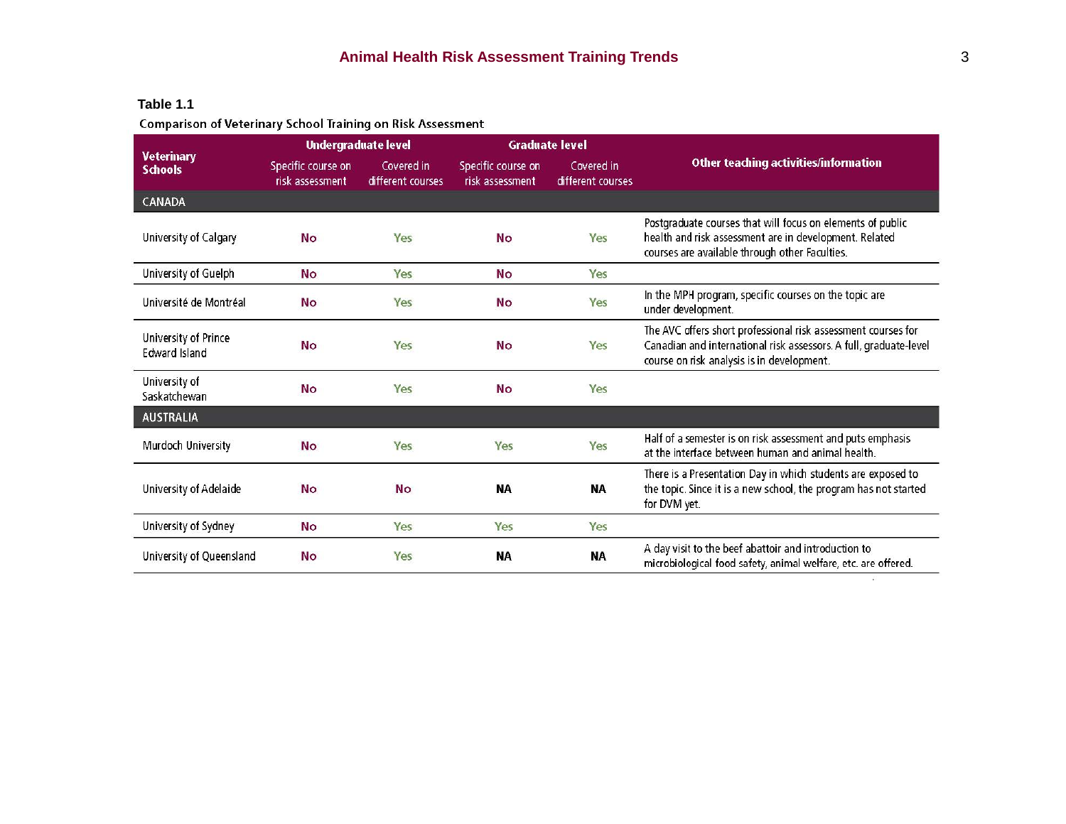# **Table 1.1**<br>Comparison of Veterinary School Training on Risk Assessment

| <b>Veterinary</b><br><b>Schools</b>          | <b>Undergraduate level</b>            |                                 | <b>Graduate level</b>                 |                                 |                                                                                                                                                                                  |
|----------------------------------------------|---------------------------------------|---------------------------------|---------------------------------------|---------------------------------|----------------------------------------------------------------------------------------------------------------------------------------------------------------------------------|
|                                              | Specific course on<br>risk assessment | Covered in<br>different courses | Specific course on<br>risk assessment | Covered in<br>different courses | <b>Other teaching activities/information</b>                                                                                                                                     |
| CANADA                                       |                                       |                                 |                                       |                                 |                                                                                                                                                                                  |
| University of Calgary                        | <b>No</b>                             | Yes                             | <b>No</b>                             | Yes                             | Postgraduate courses that will focus on elements of public<br>health and risk assessment are in development. Related<br>courses are available through other Faculties.           |
| University of Guelph                         | <b>No</b>                             | Yes                             | <b>No</b>                             | Yes                             |                                                                                                                                                                                  |
| Université de Montréal                       | <b>No</b>                             | Yes                             | <b>No</b>                             | Yes                             | In the MPH program, specific courses on the topic are<br>under development.                                                                                                      |
| University of Prince<br><b>Edward Island</b> | <b>No</b>                             | Yes                             | <b>No</b>                             | Yes                             | The AVC offers short professional risk assessment courses for<br>Canadian and international risk assessors. A full, graduate-level<br>course on risk analysis is in development. |
| University of<br>Saskatchewan                | <b>No</b>                             | Yes                             | <b>No</b>                             | Yes                             |                                                                                                                                                                                  |
| <b>AUSTRALIA</b>                             |                                       |                                 |                                       |                                 |                                                                                                                                                                                  |
| Murdoch University                           | <b>No</b>                             | Yes                             | Yes                                   | Yes                             | Half of a semester is on risk assessment and puts emphasis<br>at the interface between human and animal health.                                                                  |
| University of Adelaide                       | <b>No</b>                             | <b>No</b>                       | <b>NA</b>                             | <b>NA</b>                       | There is a Presentation Day in which students are exposed to<br>the topic. Since it is a new school, the program has not started<br>for DVM yet.                                 |
| University of Sydney                         | <b>No</b>                             | Yes                             | Yes                                   | Yes                             |                                                                                                                                                                                  |
| University of Queensland                     | <b>No</b>                             | Yes                             | <b>NA</b>                             | <b>NA</b>                       | A day visit to the beef abattoir and introduction to<br>microbiological food safety, animal welfare, etc. are offered.                                                           |

 $\mathcal{I}^{\mathcal{G}}_{\mathcal{A}}$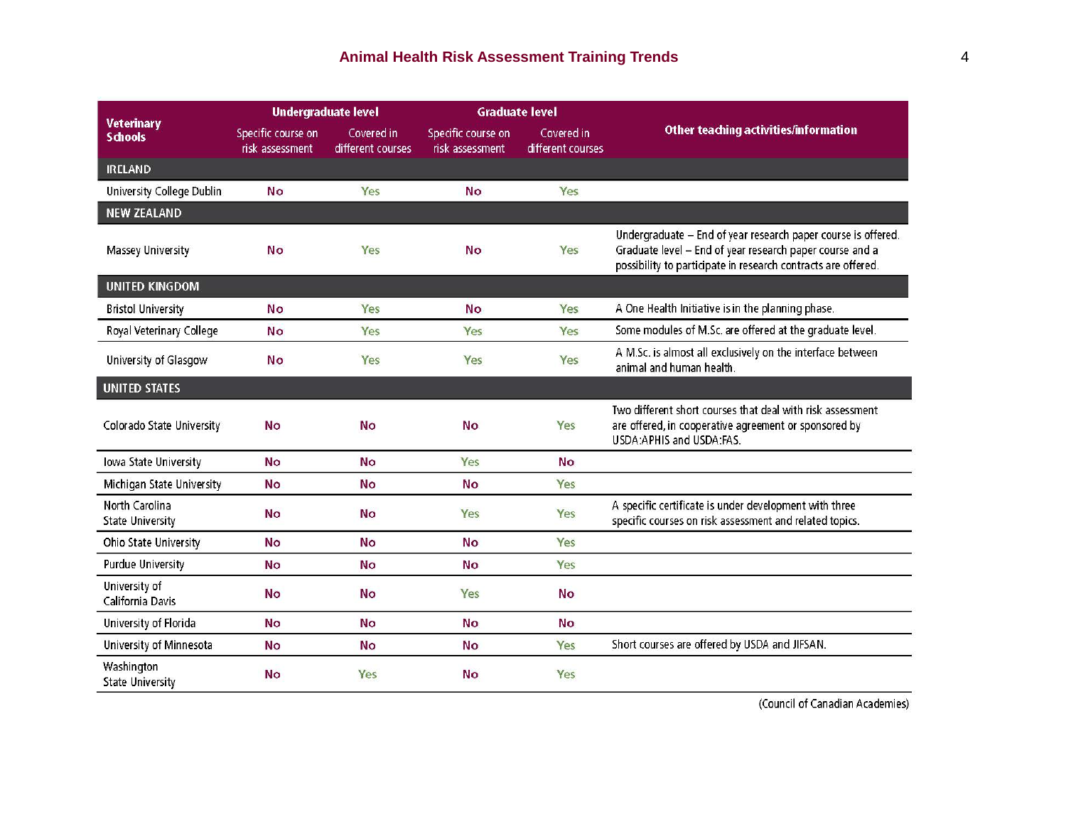| <b>Veterinary</b><br><b>Schools</b>       | <b>Undergraduate level</b>            |                                 | <b>Graduate level</b>                 |                                 |                                                                                                                                                                                            |
|-------------------------------------------|---------------------------------------|---------------------------------|---------------------------------------|---------------------------------|--------------------------------------------------------------------------------------------------------------------------------------------------------------------------------------------|
|                                           | Specific course on<br>risk assessment | Covered in<br>different courses | Specific course on<br>risk assessment | Covered in<br>different courses | Other teaching activities/information                                                                                                                                                      |
| <b>IRELAND</b>                            |                                       |                                 |                                       |                                 |                                                                                                                                                                                            |
| University College Dublin                 | No                                    | Yes                             | <b>No</b>                             | Yes                             |                                                                                                                                                                                            |
| <b>NEW ZEALAND</b>                        |                                       |                                 |                                       |                                 |                                                                                                                                                                                            |
| Massey University                         | No                                    | Yes                             | No                                    | Yes                             | Undergraduate - End of year research paper course is offered.<br>Graduate level - End of year research paper course and a<br>possibility to participate in research contracts are offered. |
| <b>UNITED KINGDOM</b>                     |                                       |                                 |                                       |                                 |                                                                                                                                                                                            |
| <b>Bristol University</b>                 | <b>No</b>                             | Yes                             | <b>No</b>                             | Yes                             | A One Health Initiative is in the planning phase.                                                                                                                                          |
| Royal Veterinary College                  | No                                    | Yes                             | Yes                                   | Yes                             | Some modules of M.Sc. are offered at the graduate level.                                                                                                                                   |
| University of Glasgow                     | No                                    | Yes                             | Yes                                   | Yes                             | A M.Sc. is almost all exclusively on the interface between<br>animal and human health.                                                                                                     |
| <b>UNITED STATES</b>                      |                                       |                                 |                                       |                                 |                                                                                                                                                                                            |
| Colorado State University                 | <b>No</b>                             | <b>No</b>                       | <b>No</b>                             | Yes                             | Two different short courses that deal with risk assessment<br>are offered, in cooperative agreement or sponsored by<br>USDA:APHIS and USDA:FAS.                                            |
| Iowa State University                     | <b>No</b>                             | <b>No</b>                       | Yes                                   | <b>No</b>                       |                                                                                                                                                                                            |
| Michigan State University                 | <b>No</b>                             | <b>No</b>                       | No                                    | Yes                             |                                                                                                                                                                                            |
| North Carolina<br><b>State University</b> | <b>No</b>                             | <b>No</b>                       | Yes                                   | Yes                             | A specific certificate is under development with three<br>specific courses on risk assessment and related topics.                                                                          |
| Ohio State University                     | <b>No</b>                             | <b>No</b>                       | <b>No</b>                             | Yes                             |                                                                                                                                                                                            |
| <b>Purdue University</b>                  | <b>No</b>                             | <b>No</b>                       | No.                                   | Yes                             |                                                                                                                                                                                            |
| University of<br>California Davis         | <b>No</b>                             | <b>No</b>                       | Yes                                   | <b>No</b>                       |                                                                                                                                                                                            |
| University of Florida                     | <b>No</b>                             | <b>No</b>                       | <b>No</b>                             | <b>No</b>                       |                                                                                                                                                                                            |
| University of Minnesota                   | No                                    | <b>No</b>                       | <b>No</b>                             | Yes                             | Short courses are offered by USDA and JIFSAN.                                                                                                                                              |
| Washington<br><b>State University</b>     | <b>No</b>                             | Yes                             | <b>No</b>                             | Yes                             |                                                                                                                                                                                            |

(Council of Canadian Academies)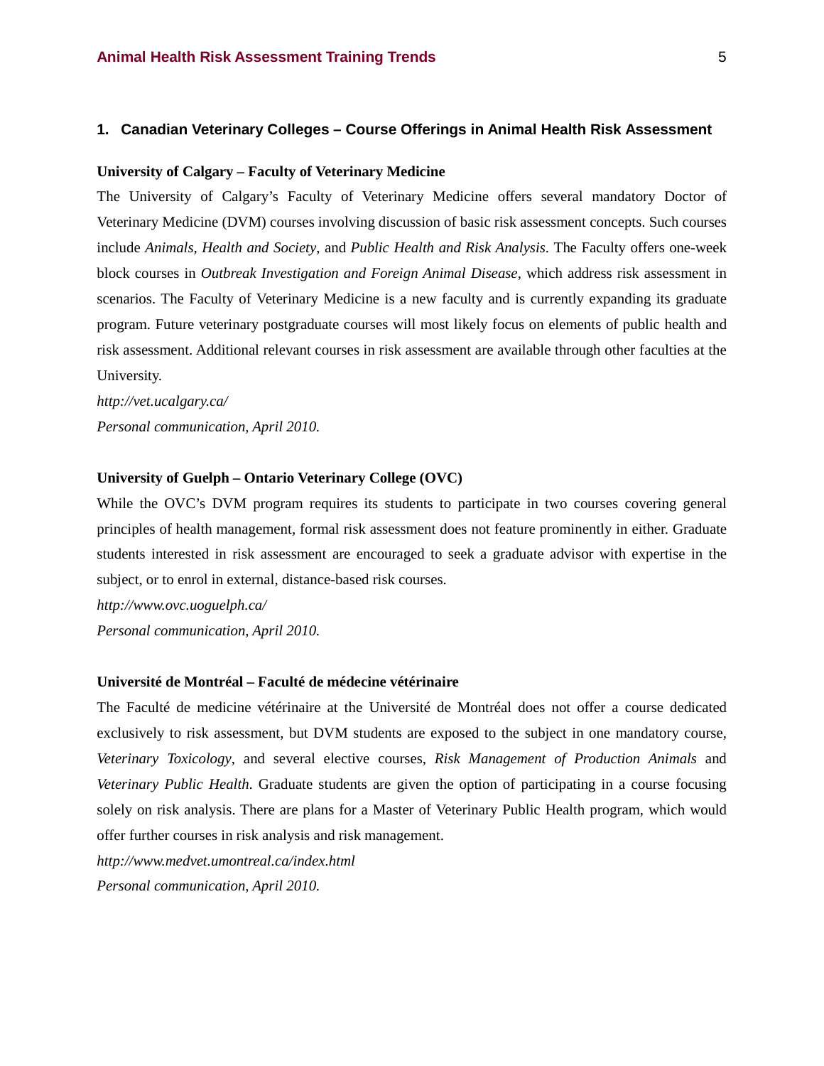#### **1. Canadian Veterinary Colleges – Course Offerings in Animal Health Risk Assessment**

#### **University of Calgary – Faculty of Veterinary Medicine**

The University of Calgary's Faculty of Veterinary Medicine offers several mandatory Doctor of Veterinary Medicine (DVM) courses involving discussion of basic risk assessment concepts. Such courses include *Animals, Health and Society*, and *Public Health and Risk Analysis*. The Faculty offers one-week block courses in *Outbreak Investigation and Foreign Animal Disease,* which address risk assessment in scenarios. The Faculty of Veterinary Medicine is a new faculty and is currently expanding its graduate program. Future veterinary postgraduate courses will most likely focus on elements of public health and risk assessment. Additional relevant courses in risk assessment are available through other faculties at the University.

*http://vet.ucalgary.ca/ Personal communication, April 2010.*

#### **University of Guelph – Ontario Veterinary College (OVC)**

While the OVC's DVM program requires its students to participate in two courses covering general principles of health management, formal risk assessment does not feature prominently in either. Graduate students interested in risk assessment are encouraged to seek a graduate advisor with expertise in the subject, or to enrol in external, distance-based risk courses.

*http://www.ovc.uoguelph.ca/ Personal communication, April 2010.*

#### **Université de Montréal – Faculté de médecine vétérinaire**

The Faculté de medicine vétérinaire at the Université de Montréal does not offer a course dedicated exclusively to risk assessment, but DVM students are exposed to the subject in one mandatory course, *Veterinary Toxicology*, and several elective courses, *Risk Management of Production Animals* and *Veterinary Public Health*. Graduate students are given the option of participating in a course focusing solely on risk analysis. There are plans for a Master of Veterinary Public Health program, which would offer further courses in risk analysis and risk management.

*http://www.medvet.umontreal.ca/index.html Personal communication, April 2010.*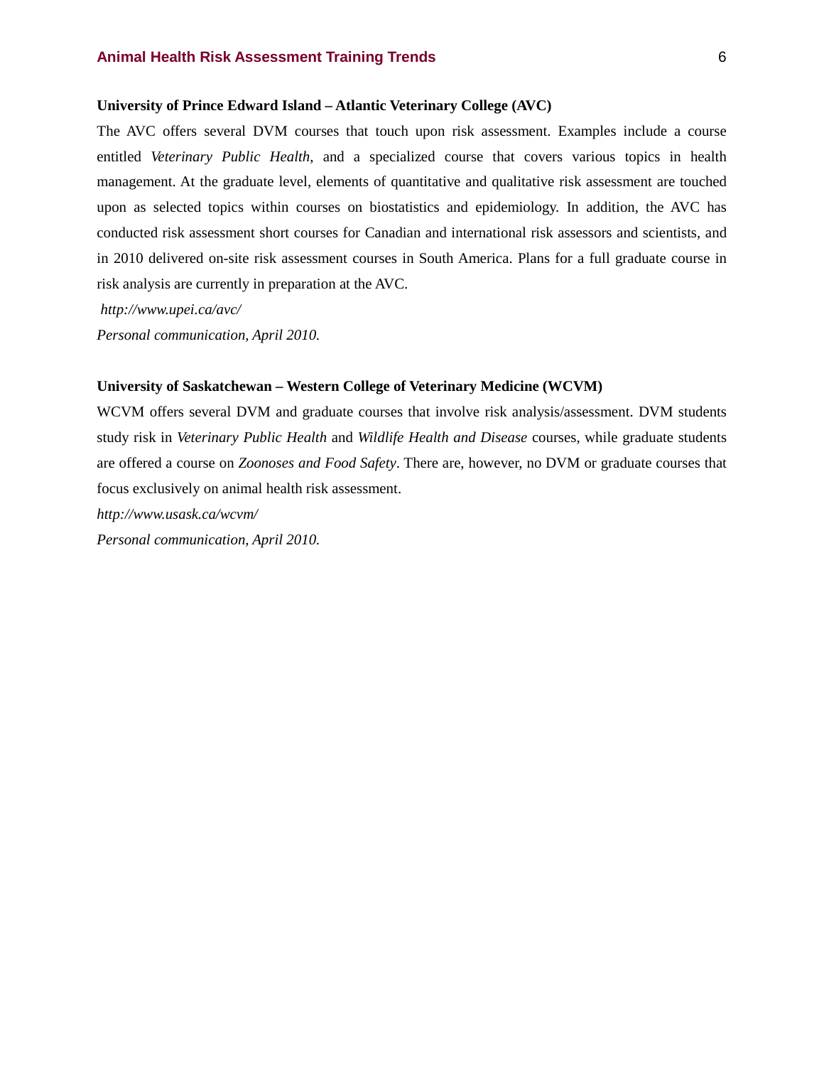#### **University of Prince Edward Island – Atlantic Veterinary College (AVC)**

The AVC offers several DVM courses that touch upon risk assessment. Examples include a course entitled *Veterinary Public Health*, and a specialized course that covers various topics in health management. At the graduate level, elements of quantitative and qualitative risk assessment are touched upon as selected topics within courses on biostatistics and epidemiology. In addition, the AVC has conducted risk assessment short courses for Canadian and international risk assessors and scientists, and in 2010 delivered on-site risk assessment courses in South America. Plans for a full graduate course in risk analysis are currently in preparation at the AVC.

*http://www.upei.ca/avc/*

*Personal communication, April 2010.*

#### **University of Saskatchewan – Western College of Veterinary Medicine (WCVM)**

WCVM offers several DVM and graduate courses that involve risk analysis/assessment. DVM students study risk in *Veterinary Public Health* and *Wildlife Health and Disease* courses, while graduate students are offered a course on *Zoonoses and Food Safety*. There are, however, no DVM or graduate courses that focus exclusively on animal health risk assessment.

*http://www.usask.ca/wcvm/*

*Personal communication, April 2010.*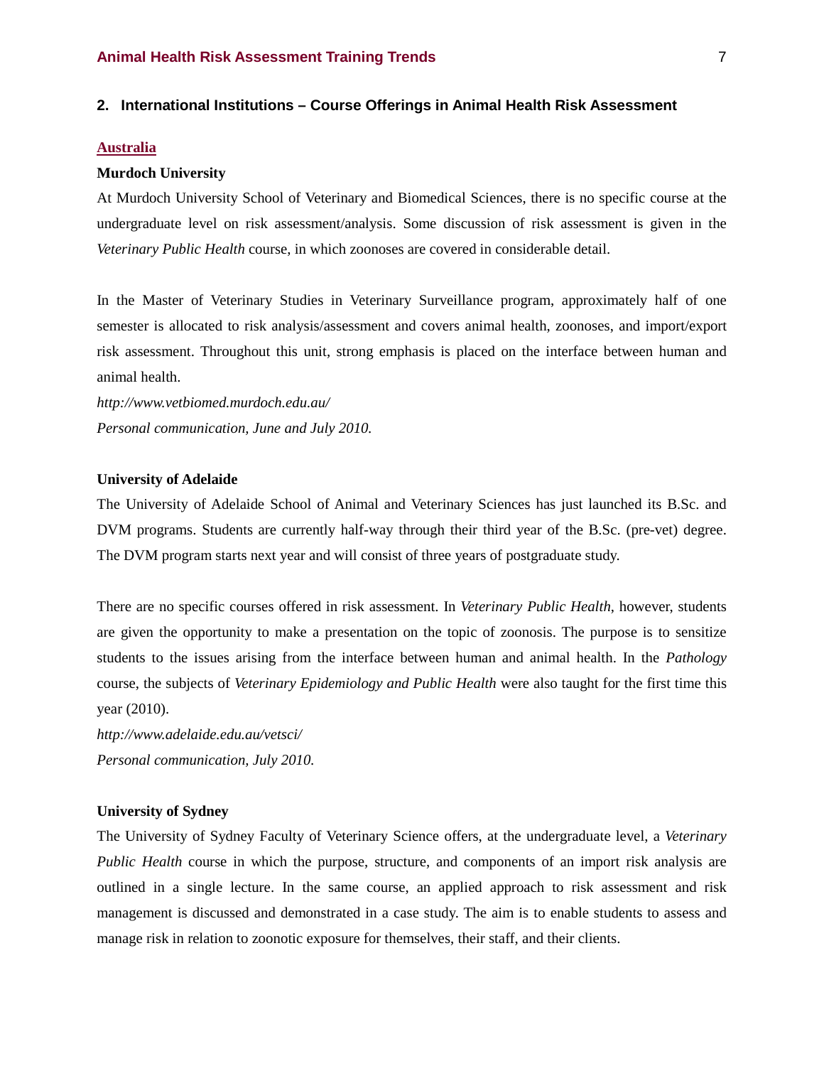#### **2. International Institutions – Course Offerings in Animal Health Risk Assessment**

#### **Australia**

#### **Murdoch University**

At Murdoch University School of Veterinary and Biomedical Sciences, there is no specific course at the undergraduate level on risk assessment/analysis. Some discussion of risk assessment is given in the *Veterinary Public Health* course, in which zoonoses are covered in considerable detail.

In the Master of Veterinary Studies in Veterinary Surveillance program, approximately half of one semester is allocated to risk analysis/assessment and covers animal health, zoonoses, and import/export risk assessment. Throughout this unit, strong emphasis is placed on the interface between human and animal health.

*http://www.vetbiomed.murdoch.edu.au/ Personal communication, June and July 2010.*

#### **University of Adelaide**

The University of Adelaide School of Animal and Veterinary Sciences has just launched its B.Sc. and DVM programs. Students are currently half-way through their third year of the B.Sc. (pre-vet) degree. The DVM program starts next year and will consist of three years of postgraduate study.

There are no specific courses offered in risk assessment. In *Veterinary Public Health*, however, students are given the opportunity to make a presentation on the topic of zoonosis. The purpose is to sensitize students to the issues arising from the interface between human and animal health. In the *Pathology* course, the subjects of *Veterinary Epidemiology and Public Health* were also taught for the first time this year (2010).

*http://www.adelaide.edu.au/vetsci/ Personal communication, July 2010.*

#### **University of Sydney**

The University of Sydney Faculty of Veterinary Science offers, at the undergraduate level, a *Veterinary Public Health* course in which the purpose, structure, and components of an import risk analysis are outlined in a single lecture. In the same course, an applied approach to risk assessment and risk management is discussed and demonstrated in a case study. The aim is to enable students to assess and manage risk in relation to zoonotic exposure for themselves, their staff, and their clients.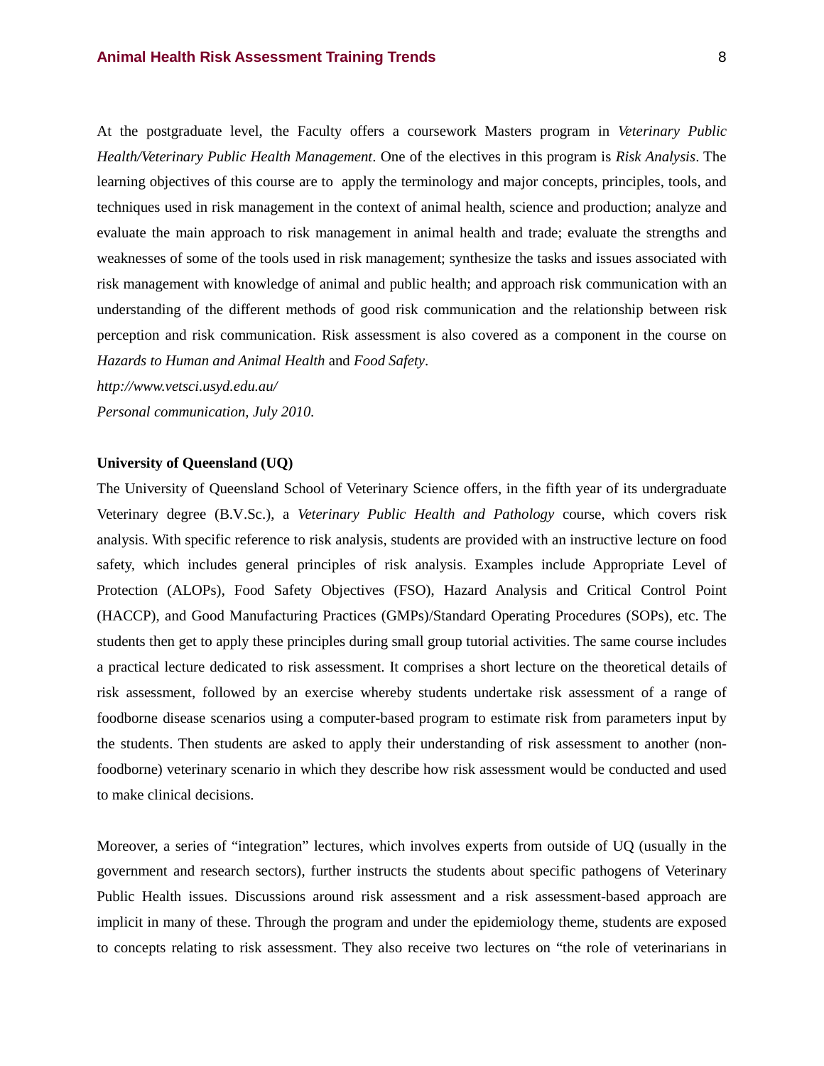At the postgraduate level, the Faculty offers a coursework Masters program in *Veterinary Public Health/Veterinary Public Health Management*. One of the electives in this program is *Risk Analysis*. The learning objectives of this course are to apply the terminology and major concepts, principles, tools, and techniques used in risk management in the context of animal health, science and production; analyze and evaluate the main approach to risk management in animal health and trade; evaluate the strengths and weaknesses of some of the tools used in risk management; synthesize the tasks and issues associated with risk management with knowledge of animal and public health; and approach risk communication with an understanding of the different methods of good risk communication and the relationship between risk perception and risk communication. Risk assessment is also covered as a component in the course on *Hazards to Human and Animal Health* and *Food Safety*.

*http://www.vetsci.usyd.edu.au/ Personal communication, July 2010.* 

#### **University of Queensland (UQ)**

The University of Queensland School of Veterinary Science offers, in the fifth year of its undergraduate Veterinary degree (B.V.Sc.), a *Veterinary Public Health and Pathology* course, which covers risk analysis. With specific reference to risk analysis, students are provided with an instructive lecture on food safety, which includes general principles of risk analysis. Examples include Appropriate Level of Protection (ALOPs), Food Safety Objectives (FSO), Hazard Analysis and Critical Control Point (HACCP), and Good Manufacturing Practices (GMPs)/Standard Operating Procedures (SOPs), etc. The students then get to apply these principles during small group tutorial activities. The same course includes a practical lecture dedicated to risk assessment. It comprises a short lecture on the theoretical details of risk assessment, followed by an exercise whereby students undertake risk assessment of a range of foodborne disease scenarios using a computer-based program to estimate risk from parameters input by the students. Then students are asked to apply their understanding of risk assessment to another (nonfoodborne) veterinary scenario in which they describe how risk assessment would be conducted and used to make clinical decisions.

Moreover, a series of "integration" lectures, which involves experts from outside of UQ (usually in the government and research sectors), further instructs the students about specific pathogens of Veterinary Public Health issues. Discussions around risk assessment and a risk assessment-based approach are implicit in many of these. Through the program and under the epidemiology theme, students are exposed to concepts relating to risk assessment. They also receive two lectures on "the role of veterinarians in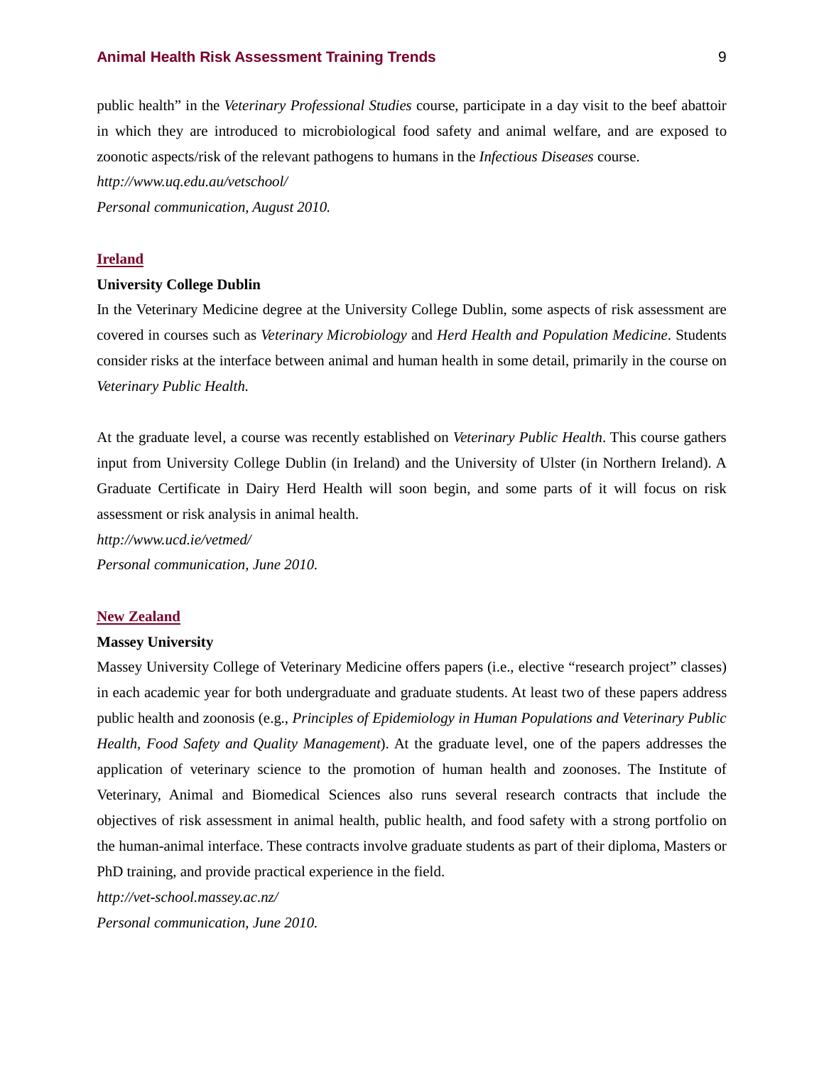public health" in the *Veterinary Professional Studies* course, participate in a day visit to the beef abattoir in which they are introduced to microbiological food safety and animal welfare, and are exposed to zoonotic aspects/risk of the relevant pathogens to humans in the *Infectious Diseases* course.

*http://www.uq.edu.au/vetschool/*

*Personal communication, August 2010.*

#### **Ireland**

#### **University College Dublin**

In the Veterinary Medicine degree at the University College Dublin, some aspects of risk assessment are covered in courses such as *Veterinary Microbiology* and *Herd Health and Population Medicine*. Students consider risks at the interface between animal and human health in some detail, primarily in the course on *Veterinary Public Health*.

At the graduate level, a course was recently established on *Veterinary Public Health*. This course gathers input from University College Dublin (in Ireland) and the University of Ulster (in Northern Ireland). A Graduate Certificate in Dairy Herd Health will soon begin, and some parts of it will focus on risk assessment or risk analysis in animal health.

*http://www.ucd.ie/vetmed/*

*Personal communication, June 2010.*

#### **New Zealand**

#### **Massey University**

Massey University College of Veterinary Medicine offers papers (i.e., elective "research project" classes) in each academic year for both undergraduate and graduate students. At least two of these papers address public health and zoonosis (e.g., *Principles of Epidemiology in Human Populations and Veterinary Public Health*, *Food Safety and Quality Management*). At the graduate level, one of the papers addresses the application of veterinary science to the promotion of human health and zoonoses. The Institute of Veterinary, Animal and Biomedical Sciences also runs several research contracts that include the objectives of risk assessment in animal health, public health, and food safety with a strong portfolio on the human-animal interface. These contracts involve graduate students as part of their diploma, Masters or PhD training, and provide practical experience in the field.

*http://vet-school.massey.ac.nz/*

*Personal communication, June 2010.*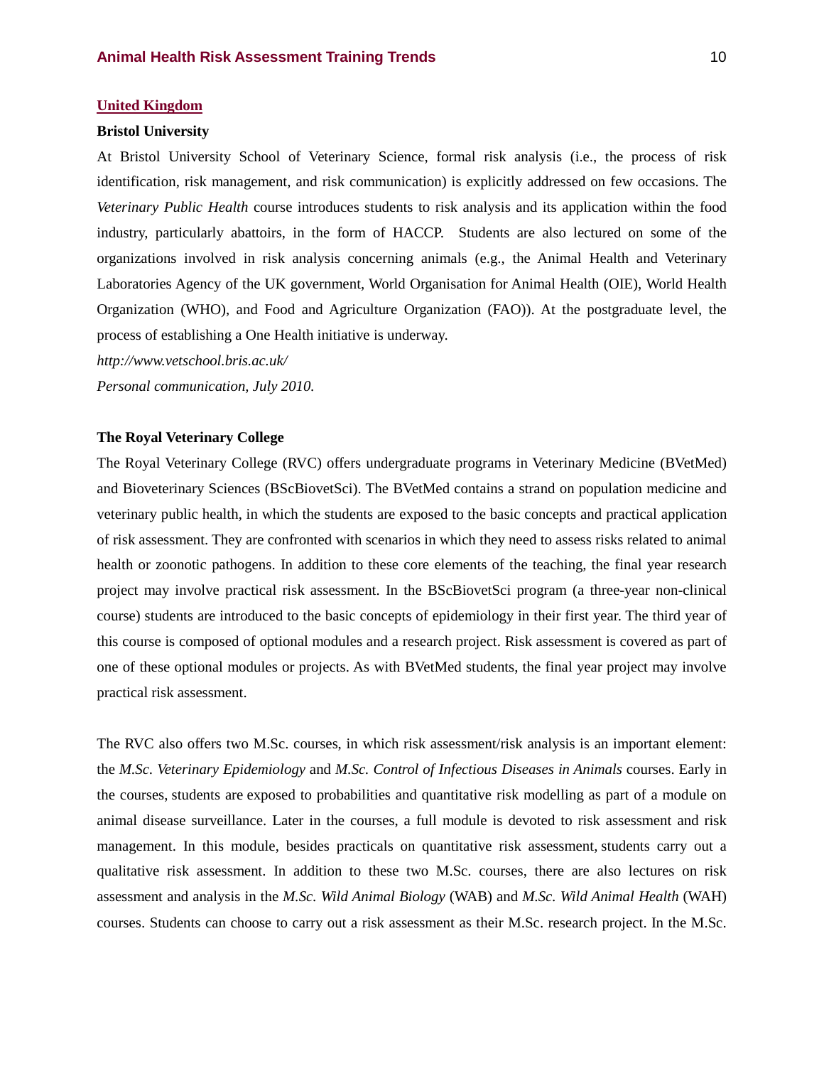#### **United Kingdom**

#### **Bristol University**

At Bristol University School of Veterinary Science, formal risk analysis (i.e., the process of risk identification, risk management, and risk communication) is explicitly addressed on few occasions. The *Veterinary Public Health* course introduces students to risk analysis and its application within the food industry, particularly abattoirs, in the form of HACCP. Students are also lectured on some of the organizations involved in risk analysis concerning animals (e.g., the Animal Health and Veterinary Laboratories Agency of the UK government, World Organisation for Animal Health (OIE), World Health Organization (WHO), and Food and Agriculture Organization (FAO)). At the postgraduate level, the process of establishing a One Health initiative is underway.

*http://www.vetschool.bris.ac.uk/ Personal communication, July 2010.*

#### **The Royal Veterinary College**

The Royal Veterinary College (RVC) offers undergraduate programs in Veterinary Medicine (BVetMed) and Bioveterinary Sciences (BScBiovetSci). The BVetMed contains a strand on population medicine and veterinary public health, in which the students are exposed to the basic concepts and practical application of risk assessment. They are confronted with scenarios in which they need to assess risks related to animal health or zoonotic pathogens. In addition to these core elements of the teaching, the final year research project may involve practical risk assessment. In the BScBiovetSci program (a three-year non-clinical course) students are introduced to the basic concepts of epidemiology in their first year. The third year of this course is composed of optional modules and a research project. Risk assessment is covered as part of one of these optional modules or projects. As with BVetMed students, the final year project may involve practical risk assessment.

The RVC also offers two M.Sc. courses, in which risk assessment/risk analysis is an important element: the *M.Sc. Veterinary Epidemiology* and *M.Sc. Control of Infectious Diseases in Animals* courses. Early in the courses, students are exposed to probabilities and quantitative risk modelling as part of a module on animal disease surveillance. Later in the courses, a full module is devoted to risk assessment and risk management. In this module, besides practicals on quantitative risk assessment, students carry out a qualitative risk assessment. In addition to these two M.Sc. courses, there are also lectures on risk assessment and analysis in the *M.Sc. Wild Animal Biology* (WAB) and *M.Sc. Wild Animal Health* (WAH) courses. Students can choose to carry out a risk assessment as their M.Sc. research project. In the M.Sc.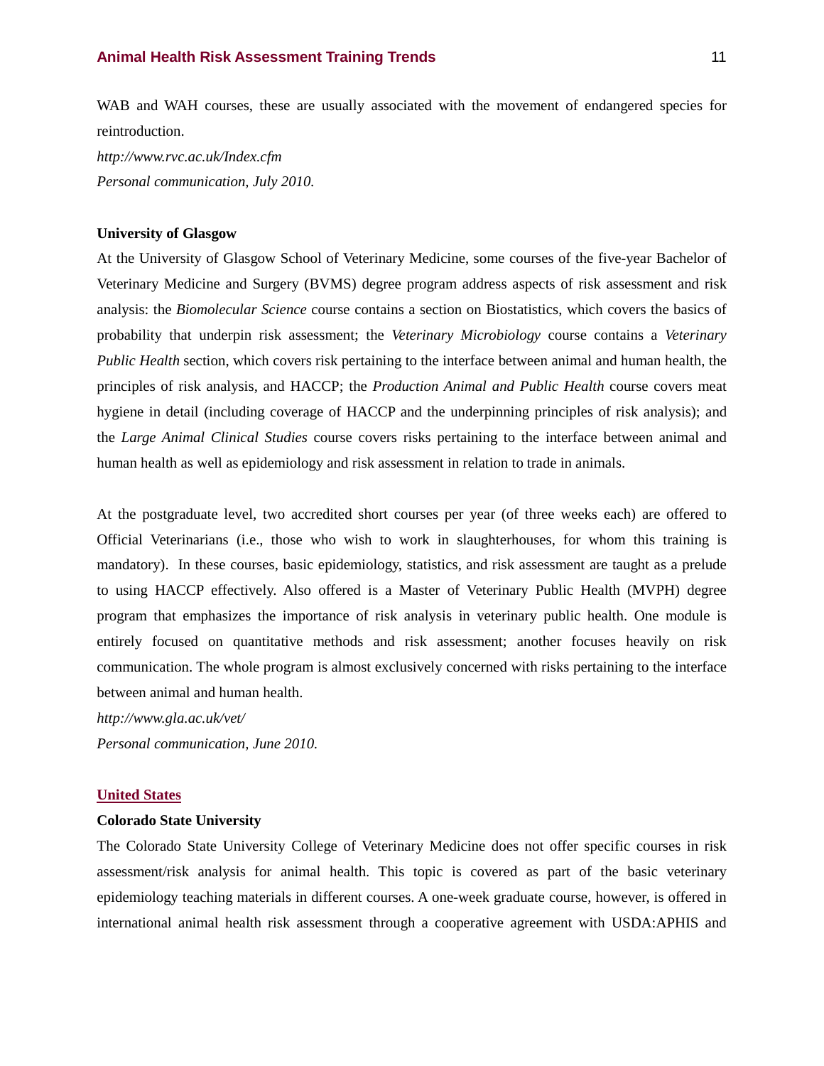WAB and WAH courses, these are usually associated with the movement of endangered species for reintroduction.

*http://www.rvc.ac.uk/Index.cfm Personal communication, July 2010.*

#### **University of Glasgow**

At the University of Glasgow School of Veterinary Medicine, some courses of the five-year Bachelor of Veterinary Medicine and Surgery (BVMS) degree program address aspects of risk assessment and risk analysis: the *Biomolecular Science* course contains a section on Biostatistics, which covers the basics of probability that underpin risk assessment; the *Veterinary Microbiology* course contains a *Veterinary Public Health* section, which covers risk pertaining to the interface between animal and human health, the principles of risk analysis, and HACCP; the *Production Animal and Public Health* course covers meat hygiene in detail (including coverage of HACCP and the underpinning principles of risk analysis); and the *Large Animal Clinical Studies* course covers risks pertaining to the interface between animal and human health as well as epidemiology and risk assessment in relation to trade in animals.

At the postgraduate level, two accredited short courses per year (of three weeks each) are offered to Official Veterinarians (i.e., those who wish to work in slaughterhouses, for whom this training is mandatory). In these courses, basic epidemiology, statistics, and risk assessment are taught as a prelude to using HACCP effectively. Also offered is a Master of Veterinary Public Health (MVPH) degree program that emphasizes the importance of risk analysis in veterinary public health. One module is entirely focused on quantitative methods and risk assessment; another focuses heavily on risk communication. The whole program is almost exclusively concerned with risks pertaining to the interface between animal and human health.

*http://www.gla.ac.uk/vet/ Personal communication, June 2010.*

#### **United States**

#### **Colorado State University**

The Colorado State University College of Veterinary Medicine does not offer specific courses in risk assessment/risk analysis for animal health. This topic is covered as part of the basic veterinary epidemiology teaching materials in different courses. A one-week graduate course, however, is offered in international animal health risk assessment through a cooperative agreement with USDA:APHIS and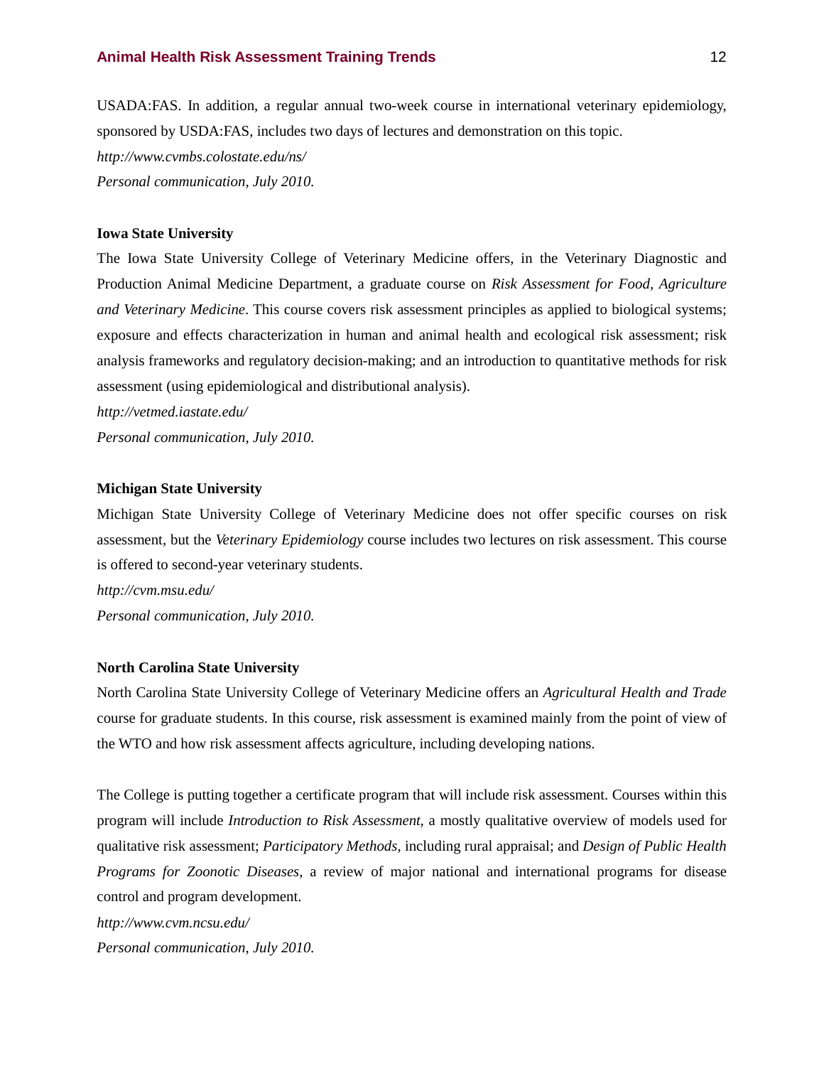USADA:FAS. In addition, a regular annual two-week course in international veterinary epidemiology, sponsored by USDA:FAS, includes two days of lectures and demonstration on this topic.

*http://www.cvmbs.colostate.edu/ns/ Personal communication, July 2010.*

#### **Iowa State University**

The Iowa State University College of Veterinary Medicine offers, in the Veterinary Diagnostic and Production Animal Medicine Department, a graduate course on *Risk Assessment for Food, Agriculture and Veterinary Medicine*. This course covers risk assessment principles as applied to biological systems; exposure and effects characterization in human and animal health and ecological risk assessment; risk analysis frameworks and regulatory decision-making; and an introduction to quantitative methods for risk assessment (using epidemiological and distributional analysis).

*http://vetmed.iastate.edu/*

*Personal communication, July 2010.*

#### **Michigan State University**

Michigan State University College of Veterinary Medicine does not offer specific courses on risk assessment, but the *Veterinary Epidemiology* course includes two lectures on risk assessment. This course is offered to second-year veterinary students.

*http://cvm.msu.edu/ Personal communication, July 2010.*

#### **North Carolina State University**

North Carolina State University College of Veterinary Medicine offers an *Agricultural Health and Trade* course for graduate students. In this course, risk assessment is examined mainly from the point of view of the WTO and how risk assessment affects agriculture, including developing nations.

The College is putting together a certificate program that will include risk assessment. Courses within this program will include *Introduction to Risk Assessment*, a mostly qualitative overview of models used for qualitative risk assessment; *Participatory Methods*, including rural appraisal; and *Design of Public Health Programs for Zoonotic Diseases*, a review of major national and international programs for disease control and program development.

*http://www.cvm.ncsu.edu/*

*Personal communication, July 2010.*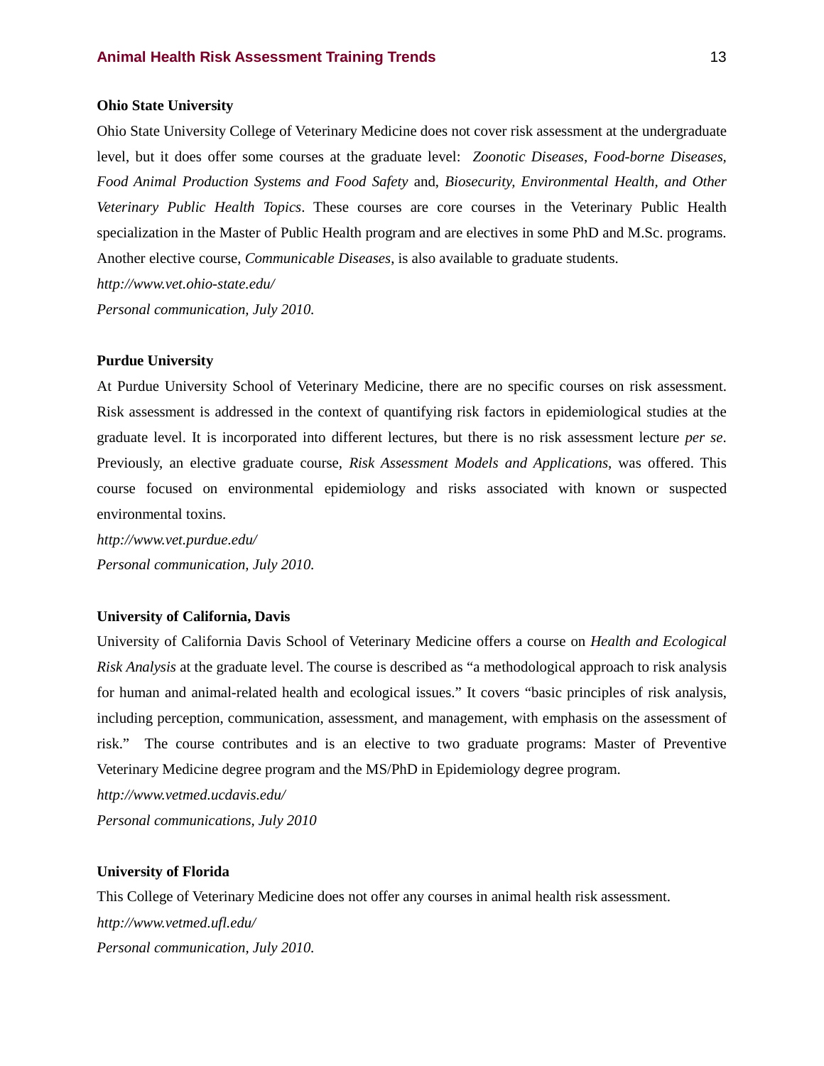#### **Ohio State University**

Ohio State University College of Veterinary Medicine does not cover risk assessment at the undergraduate level, but it does offer some courses at the graduate level: *Zoonotic Diseases*, *Food-borne Diseases, Food Animal Production Systems and Food Safety* and, *Biosecurity, Environmental Health, and Other Veterinary Public Health Topics*. These courses are core courses in the Veterinary Public Health specialization in the Master of Public Health program and are electives in some PhD and M.Sc. programs. Another elective course, *Communicable Diseases*, is also available to graduate students.

*http://www.vet.ohio-state.edu/*

*Personal communication, July 2010.*

#### **Purdue University**

At Purdue University School of Veterinary Medicine, there are no specific courses on risk assessment. Risk assessment is addressed in the context of quantifying risk factors in epidemiological studies at the graduate level. It is incorporated into different lectures, but there is no risk assessment lecture *per se*. Previously, an elective graduate course, *Risk Assessment Models and Applications*, was offered. This course focused on environmental epidemiology and risks associated with known or suspected environmental toxins.

*http://www.vet.purdue.edu/ Personal communication, July 2010.*

#### **University of California, Davis**

University of California Davis School of Veterinary Medicine offers a course on *Health and Ecological Risk Analysis* at the graduate level. The course is described as "a methodological approach to risk analysis for human and animal-related health and ecological issues." It covers "basic principles of risk analysis, including perception, communication, assessment, and management, with emphasis on the assessment of risk." The course contributes and is an elective to two graduate programs: Master of Preventive Veterinary Medicine degree program and the MS/PhD in Epidemiology degree program.

*http://www.vetmed.ucdavis.edu/*

*Personal communications, July 2010*

#### **University of Florida**

This College of Veterinary Medicine does not offer any courses in animal health risk assessment. *http://www.vetmed.ufl.edu/ Personal communication, July 2010.*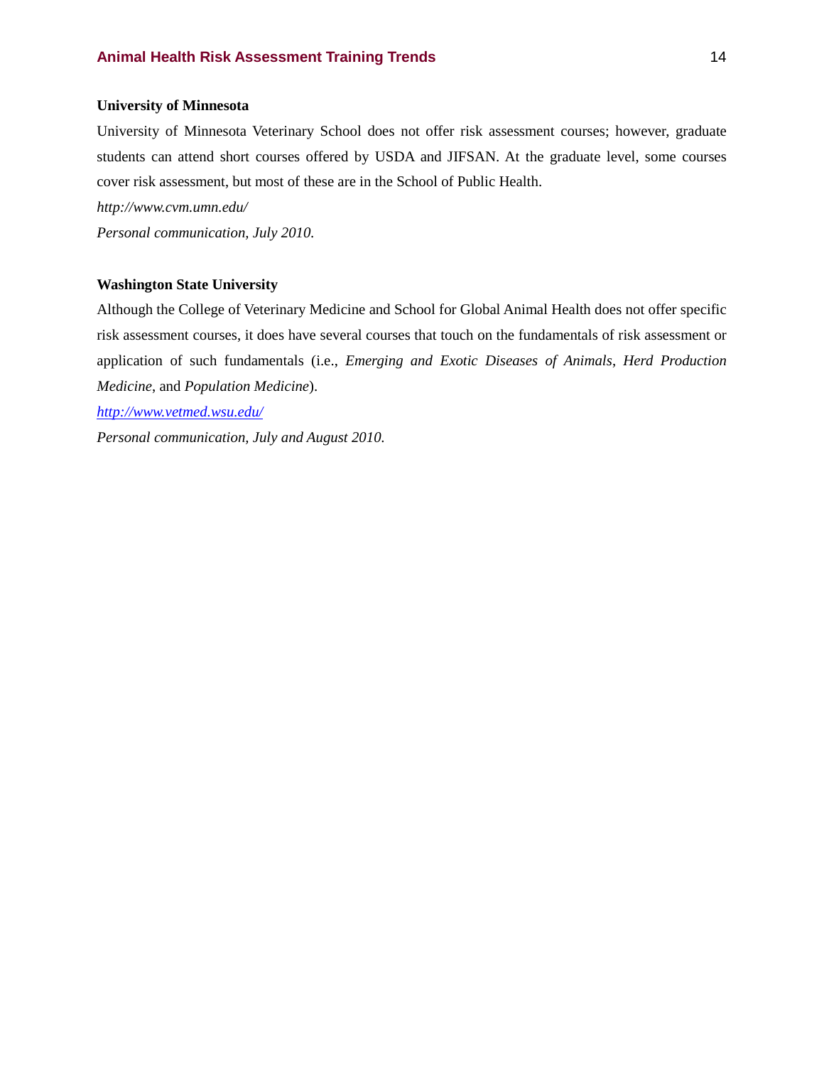#### **University of Minnesota**

University of Minnesota Veterinary School does not offer risk assessment courses; however, graduate students can attend short courses offered by USDA and JIFSAN. At the graduate level, some courses cover risk assessment, but most of these are in the School of Public Health.

*http://www.cvm.umn.edu/*

*Personal communication, July 2010.*

#### **Washington State University**

Although the College of Veterinary Medicine and School for Global Animal Health does not offer specific risk assessment courses, it does have several courses that touch on the fundamentals of risk assessment or application of such fundamentals (i.e., *Emerging and Exotic Diseases of Animals*, *Herd Production Medicine*, and *Population Medicine*).

*<http://www.vetmed.wsu.edu/>*

*Personal communication, July and August 2010.*